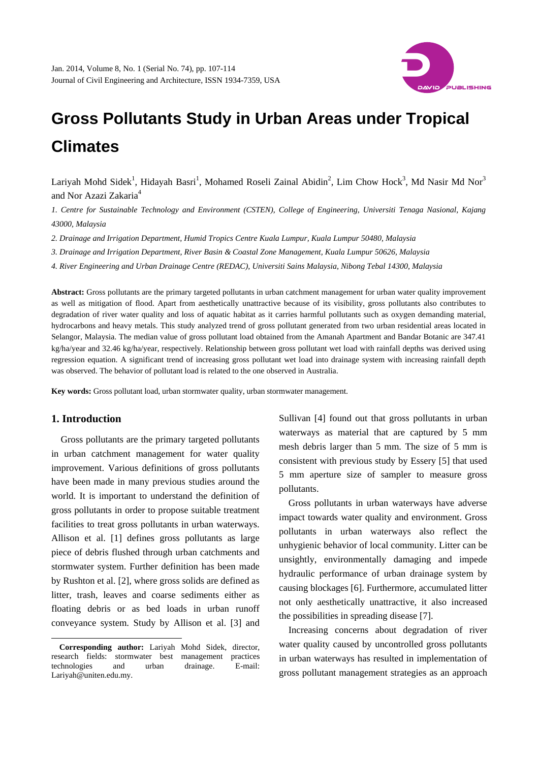

# **Gross Pollutants Study in Urban Areas under Tropical Climates**

Lariyah Mohd Sidek<sup>1</sup>, Hidayah Basri<sup>1</sup>, Mohamed Roseli Zainal Abidin<sup>2</sup>, Lim Chow Hock<sup>3</sup>, Md Nasir Md Nor<sup>3</sup> and Nor Azazi Zakaria<sup>4</sup>

*1. Centre for Sustainable Technology and Environment (CSTEN), College of Engineering, Universiti Tenaga Nasional, Kajang 43000, Malaysia* 

*2. Drainage and Irrigation Department, Humid Tropics Centre Kuala Lumpur, Kuala Lumpur 50480, Malaysia* 

*3. Drainage and Irrigation Department, River Basin & Coastal Zone Management, Kuala Lumpur 50626, Malaysia* 

*4. River Engineering and Urban Drainage Centre (REDAC), Universiti Sains Malaysia, Nibong Tebal 14300, Malaysia* 

**Abstract:** Gross pollutants are the primary targeted pollutants in urban catchment management for urban water quality improvement as well as mitigation of flood. Apart from aesthetically unattractive because of its visibility, gross pollutants also contributes to degradation of river water quality and loss of aquatic habitat as it carries harmful pollutants such as oxygen demanding material, hydrocarbons and heavy metals. This study analyzed trend of gross pollutant generated from two urban residential areas located in Selangor, Malaysia. The median value of gross pollutant load obtained from the Amanah Apartment and Bandar Botanic are 347.41 kg/ha/year and 32.46 kg/ha/year, respectively. Relationship between gross pollutant wet load with rainfall depths was derived using regression equation. A significant trend of increasing gross pollutant wet load into drainage system with increasing rainfall depth was observed. The behavior of pollutant load is related to the one observed in Australia.

**Key words:** Gross pollutant load, urban stormwater quality, urban stormwater management.

#### **1. Introduction**

 $\overline{\phantom{a}}$ 

Gross pollutants are the primary targeted pollutants in urban catchment management for water quality improvement. Various definitions of gross pollutants have been made in many previous studies around the world. It is important to understand the definition of gross pollutants in order to propose suitable treatment facilities to treat gross pollutants in urban waterways. Allison et al. [1] defines gross pollutants as large piece of debris flushed through urban catchments and stormwater system. Further definition has been made by Rushton et al. [2], where gross solids are defined as litter, trash, leaves and coarse sediments either as floating debris or as bed loads in urban runoff conveyance system. Study by Allison et al. [3] and

Sullivan [4] found out that gross pollutants in urban waterways as material that are captured by 5 mm mesh debris larger than 5 mm. The size of 5 mm is consistent with previous study by Essery [5] that used 5 mm aperture size of sampler to measure gross pollutants.

Gross pollutants in urban waterways have adverse impact towards water quality and environment. Gross pollutants in urban waterways also reflect the unhygienic behavior of local community. Litter can be unsightly, environmentally damaging and impede hydraulic performance of urban drainage system by causing blockages [6]. Furthermore, accumulated litter not only aesthetically unattractive, it also increased the possibilities in spreading disease [7].

Increasing concerns about degradation of river water quality caused by uncontrolled gross pollutants in urban waterways has resulted in implementation of gross pollutant management strategies as an approach

**Corresponding author:** Lariyah Mohd Sidek, director, research fields: stormwater best management practices technologies and urban drainage. E-mail: Lariyah@uniten.edu.my.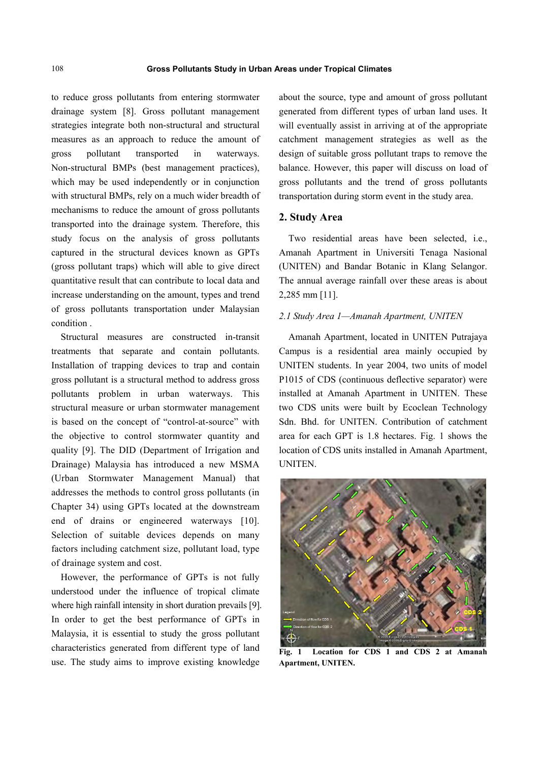to reduce gross pollutants from entering stormwater drainage system [8]. Gross pollutant management strategies integrate both non-structural and structural measures as an approach to reduce the amount of gross pollutant transported in waterways. Non-structural BMPs (best management practices), which may be used independently or in conjunction with structural BMPs, rely on a much wider breadth of mechanisms to reduce the amount of gross pollutants transported into the drainage system. Therefore, this study focus on the analysis of gross pollutants captured in the structural devices known as GPTs (gross pollutant traps) which will able to give direct quantitative result that can contribute to local data and increase understanding on the amount, types and trend of gross pollutants transportation under Malaysian condition .

Structural measures are constructed in-transit treatments that separate and contain pollutants. Installation of trapping devices to trap and contain gross pollutant is a structural method to address gross pollutants problem in urban waterways. This structural measure or urban stormwater management is based on the concept of "control-at-source" with the objective to control stormwater quantity and quality [9]. The DID (Department of Irrigation and Drainage) Malaysia has introduced a new MSMA (Urban Stormwater Management Manual) that addresses the methods to control gross pollutants (in Chapter 34) using GPTs located at the downstream end of drains or engineered waterways [10]. Selection of suitable devices depends on many factors including catchment size, pollutant load, type of drainage system and cost.

However, the performance of GPTs is not fully understood under the influence of tropical climate where high rainfall intensity in short duration prevails [9]. In order to get the best performance of GPTs in Malaysia, it is essential to study the gross pollutant characteristics generated from different type of land use. The study aims to improve existing knowledge

about the source, type and amount of gross pollutant generated from different types of urban land uses. It will eventually assist in arriving at of the appropriate catchment management strategies as well as the design of suitable gross pollutant traps to remove the balance. However, this paper will discuss on load of gross pollutants and the trend of gross pollutants transportation during storm event in the study area.

#### **2. Study Area**

Two residential areas have been selected, i.e., Amanah Apartment in Universiti Tenaga Nasional (UNITEN) and Bandar Botanic in Klang Selangor. The annual average rainfall over these areas is about 2,285 mm [11].

#### *2.1 Study Area 1—Amanah Apartment, UNITEN*

Amanah Apartment, located in UNITEN Putrajaya Campus is a residential area mainly occupied by UNITEN students. In year 2004, two units of model P1015 of CDS (continuous deflective separator) were installed at Amanah Apartment in UNITEN. These two CDS units were built by Ecoclean Technology Sdn. Bhd. for UNITEN. Contribution of catchment area for each GPT is 1.8 hectares. Fig. 1 shows the location of CDS units installed in Amanah Apartment, UNITEN.



**Fig. 1 Location for CDS 1 and CDS 2 at Amanah Apartment, UNITEN.**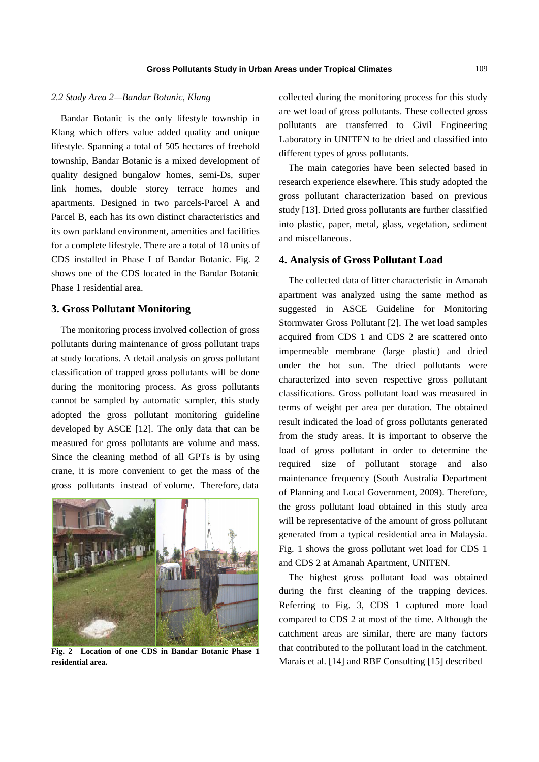#### *2.2 Study Area 2—Bandar Botanic, Klang*

Bandar Botanic is the only lifestyle township in Klang which offers value added quality and unique lifestyle. Spanning a total of 505 hectares of freehold township, Bandar Botanic is a mixed development of quality designed bungalow homes, semi-Ds, super link homes, double storey terrace homes and apartments. Designed in two parcels-Parcel A and Parcel B, each has its own distinct characteristics and its own parkland environment, amenities and facilities for a complete lifestyle. There are a total of 18 units of CDS installed in Phase I of Bandar Botanic. Fig. 2 shows one of the CDS located in the Bandar Botanic Phase 1 residential area.

#### **3. Gross Pollutant Monitoring**

The monitoring process involved collection of gross pollutants during maintenance of gross pollutant traps at study locations. A detail analysis on gross pollutant classification of trapped gross pollutants will be done during the monitoring process. As gross pollutants cannot be sampled by automatic sampler, this study adopted the gross pollutant monitoring guideline developed by ASCE [12]. The only data that can be measured for gross pollutants are volume and mass. Since the cleaning method of all GPTs is by using crane, it is more convenient to get the mass of the gross pollutants instead of volume. Therefore, data



**Fig. 2 Location of one CDS in Bandar Botanic Phase 1 residential area.** 

collected during the monitoring process for this study are wet load of gross pollutants. These collected gross pollutants are transferred to Civil Engineering Laboratory in UNITEN to be dried and classified into different types of gross pollutants.

The main categories have been selected based in research experience elsewhere. This study adopted the gross pollutant characterization based on previous study [13]. Dried gross pollutants are further classified into plastic, paper, metal, glass, vegetation, sediment and miscellaneous.

#### **4. Analysis of Gross Pollutant Load**

The collected data of litter characteristic in Amanah apartment was analyzed using the same method as suggested in ASCE Guideline for Monitoring Stormwater Gross Pollutant [2]. The wet load samples acquired from CDS 1 and CDS 2 are scattered onto impermeable membrane (large plastic) and dried under the hot sun. The dried pollutants were characterized into seven respective gross pollutant classifications. Gross pollutant load was measured in terms of weight per area per duration. The obtained result indicated the load of gross pollutants generated from the study areas. It is important to observe the load of gross pollutant in order to determine the required size of pollutant storage and also maintenance frequency (South Australia Department of Planning and Local Government, 2009). Therefore, the gross pollutant load obtained in this study area will be representative of the amount of gross pollutant generated from a typical residential area in Malaysia. Fig. 1 shows the gross pollutant wet load for CDS 1 and CDS 2 at Amanah Apartment, UNITEN.

The highest gross pollutant load was obtained during the first cleaning of the trapping devices. Referring to Fig. 3, CDS 1 captured more load compared to CDS 2 at most of the time. Although the catchment areas are similar, there are many factors that contributed to the pollutant load in the catchment. Marais et al. [14] and RBF Consulting [15] described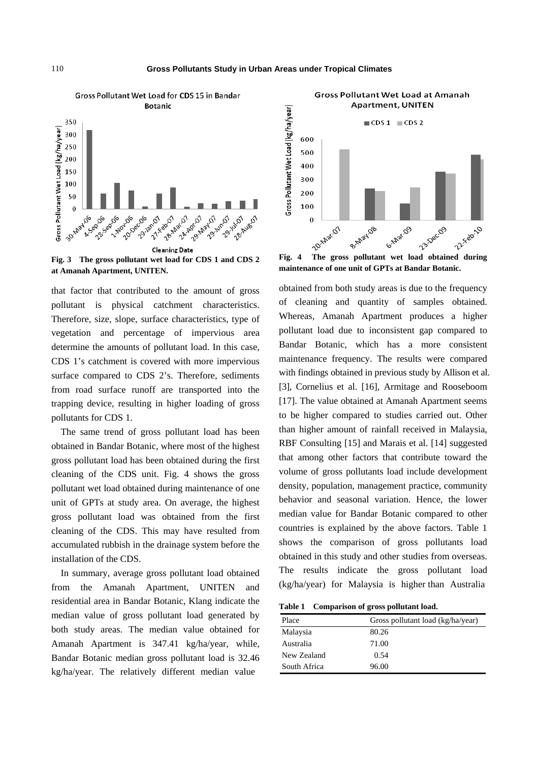

**Fig. 3 The gross pollutant wet load for CDS 1 and CDS 2 at Amanah Apartment, UNITEN.** 

that factor that contributed to the amount of gross pollutant is physical catchment characteristics. Therefore, size, slope, surface characteristics, type of vegetation and percentage of impervious area determine the amounts of pollutant load. In this case, CDS 1's catchment is covered with more impervious surface compared to CDS 2's. Therefore, sediments from road surface runoff are transported into the trapping device, resulting in higher loading of gross pollutants for CDS 1.

The same trend of gross pollutant load has been obtained in Bandar Botanic, where most of the highest gross pollutant load has been obtained during the first cleaning of the CDS unit. Fig. 4 shows the gross pollutant wet load obtained during maintenance of one unit of GPTs at study area. On average, the highest gross pollutant load was obtained from the first cleaning of the CDS. This may have resulted from accumulated rubbish in the drainage system before the installation of the CDS.

In summary, average gross pollutant load obtained from the Amanah Apartment, UNITEN and residential area in Bandar Botanic, Klang indicate the median value of gross pollutant load generated by both study areas. The median value obtained for Amanah Apartment is 347.41 kg/ha/year, while, Bandar Botanic median gross pollutant load is 32.46 kg/ha/year. The relatively different median value



Gross Pollutant Wet Load at Amanah

**maintenance of one unit of GPTs at Bandar Botanic.** 

obtained from both study areas is due to the frequency of cleaning and quantity of samples obtained. Whereas, Amanah Apartment produces a higher pollutant load due to inconsistent gap compared to Bandar Botanic, which has a more consistent maintenance frequency. The results were compared with findings obtained in previous study by Allison et al. [3], Cornelius et al. [16], Armitage and Rooseboom [17]. The value obtained at Amanah Apartment seems to be higher compared to studies carried out. Other than higher amount of rainfall received in Malaysia, RBF Consulting [15] and Marais et al. [14] suggested that among other factors that contribute toward the volume of gross pollutants load include development density, population, management practice, community behavior and seasonal variation. Hence, the lower median value for Bandar Botanic compared to other countries is explained by the above factors. Table 1 shows the comparison of gross pollutants load obtained in this study and other studies from overseas. The results indicate the gross pollutant load (kg/ha/year) for Malaysia is higher than Australia

**Table 1 Comparison of gross pollutant load.** 

| Place        | Gross pollutant load (kg/ha/year) |
|--------------|-----------------------------------|
| Malaysia     | 80.26                             |
| Australia    | 71.00                             |
| New Zealand  | 0.54                              |
| South Africa | 96.00                             |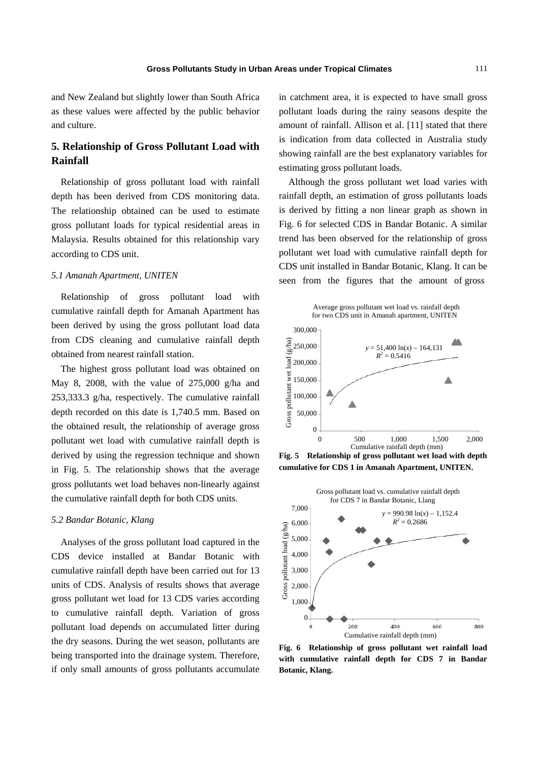and New Zealand but slightly lower than South Africa as these values were affected by the public behavior and culture.

# **5. Relationship of Gross Pollutant Load with Rainfall**

Relationship of gross pollutant load with rainfall depth has been derived from CDS monitoring data. The relationship obtained can be used to estimate gross pollutant loads for typical residential areas in Malaysia. Results obtained for this relationship vary according to CDS unit.

#### *5.1 Amanah Apartment, UNITEN*

Relationship of gross pollutant load with cumulative rainfall depth for Amanah Apartment has been derived by using the gross pollutant load data from CDS cleaning and cumulative rainfall depth obtained from nearest rainfall station.

The highest gross pollutant load was obtained on May 8, 2008, with the value of 275,000 g/ha and 253,333.3 g/ha, respectively. The cumulative rainfall depth recorded on this date is 1,740.5 mm. Based on the obtained result, the relationship of average gross pollutant wet load with cumulative rainfall depth is derived by using the regression technique and shown in Fig. 5. The relationship shows that the average gross pollutants wet load behaves non-linearly against the cumulative rainfall depth for both CDS units.

#### *5.2 Bandar Botanic, Klang*

Analyses of the gross pollutant load captured in the CDS device installed at Bandar Botanic with cumulative rainfall depth have been carried out for 13 units of CDS. Analysis of results shows that average gross pollutant wet load for 13 CDS varies according to cumulative rainfall depth. Variation of gross pollutant load depends on accumulated litter during the dry seasons. During the wet season, pollutants are being transported into the drainage system. Therefore, if only small amounts of gross pollutants accumulate in catchment area, it is expected to have small gross pollutant loads during the rainy seasons despite the amount of rainfall. Allison et al. [11] stated that there is indication from data collected in Australia study showing rainfall are the best explanatory variables for estimating gross pollutant loads.

Although the gross pollutant wet load varies with rainfall depth, an estimation of gross pollutants loads is derived by fitting a non linear graph as shown in Fig. 6 for selected CDS in Bandar Botanic. A similar trend has been observed for the relationship of gross pollutant wet load with cumulative rainfall depth for CDS unit installed in Bandar Botanic, Klang. It can be seen from the figures that the amount of gross



**Fig. 5 Relationship of gross pollutant wet load with depth cumulative for CDS 1 in Amanah Apartment, UNITEN.** 



**Fig. 6 Relationship of gross pollutant wet rainfall load with cumulative rainfall depth for CDS 7 in Bandar Botanic, Klang.**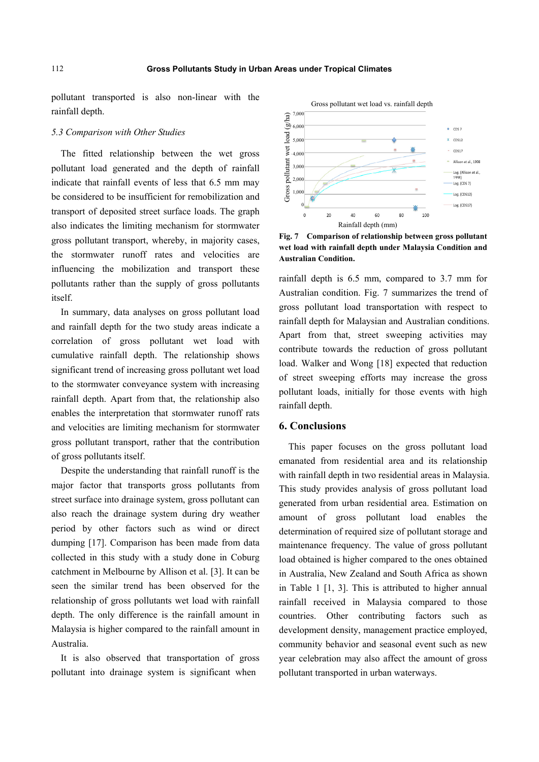pollutant transported is also non-linear with the rainfall depth.

### *5.3 Comparison with Other Studies*

The fitted relationship between the wet gross pollutant load generated and the depth of rainfall indicate that rainfall events of less that 6.5 mm may be considered to be insufficient for remobilization and transport of deposited street surface loads. The graph also indicates the limiting mechanism for stormwater gross pollutant transport, whereby, in majority cases, the stormwater runoff rates and velocities are influencing the mobilization and transport these pollutants rather than the supply of gross pollutants itself.

In summary, data analyses on gross pollutant load and rainfall depth for the two study areas indicate a correlation of gross pollutant wet load with cumulative rainfall depth. The relationship shows significant trend of increasing gross pollutant wet load to the stormwater conveyance system with increasing rainfall depth. Apart from that, the relationship also enables the interpretation that stormwater runoff rats and velocities are limiting mechanism for stormwater gross pollutant transport, rather that the contribution of gross pollutants itself.

Despite the understanding that rainfall runoff is the major factor that transports gross pollutants from street surface into drainage system, gross pollutant can also reach the drainage system during dry weather period by other factors such as wind or direct dumping [17]. Comparison has been made from data collected in this study with a study done in Coburg catchment in Melbourne by Allison et al. [3]. It can be seen the similar trend has been observed for the relationship of gross pollutants wet load with rainfall depth. The only difference is the rainfall amount in Malaysia is higher compared to the rainfall amount in Australia.

It is also observed that transportation of gross pollutant into drainage system is significant when



**Fig. 7 Comparison of relationship between gross pollutant wet load with rainfall depth under Malaysia Condition and Australian Condition.** 

rainfall depth is 6.5 mm, compared to 3.7 mm for Australian condition. Fig. 7 summarizes the trend of gross pollutant load transportation with respect to rainfall depth for Malaysian and Australian conditions. Apart from that, street sweeping activities may contribute towards the reduction of gross pollutant load. Walker and Wong [18] expected that reduction of street sweeping efforts may increase the gross pollutant loads, initially for those events with high rainfall depth.

#### **6. Conclusions**

This paper focuses on the gross pollutant load emanated from residential area and its relationship with rainfall depth in two residential areas in Malaysia. This study provides analysis of gross pollutant load generated from urban residential area. Estimation on amount of gross pollutant load enables the determination of required size of pollutant storage and maintenance frequency. The value of gross pollutant load obtained is higher compared to the ones obtained in Australia, New Zealand and South Africa as shown in Table 1 [1, 3]. This is attributed to higher annual rainfall received in Malaysia compared to those countries. Other contributing factors such as development density, management practice employed, community behavior and seasonal event such as new year celebration may also affect the amount of gross pollutant transported in urban waterways.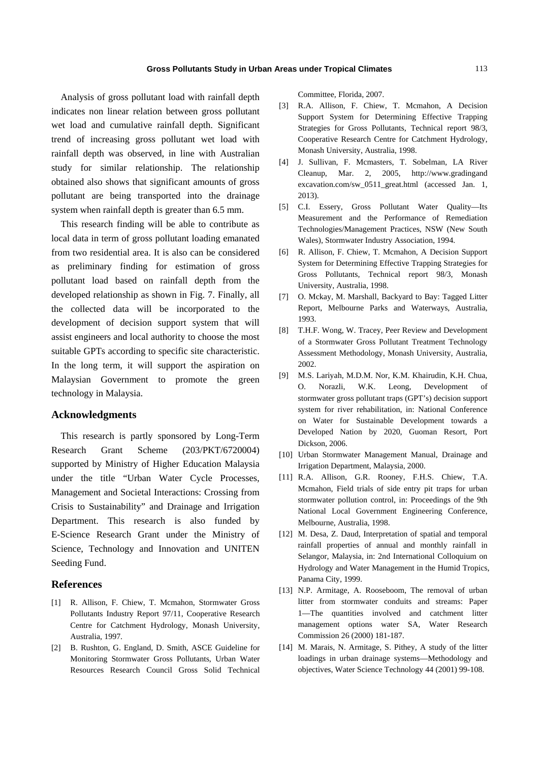Analysis of gross pollutant load with rainfall depth indicates non linear relation between gross pollutant wet load and cumulative rainfall depth. Significant trend of increasing gross pollutant wet load with rainfall depth was observed, in line with Australian study for similar relationship. The relationship obtained also shows that significant amounts of gross pollutant are being transported into the drainage system when rainfall depth is greater than 6.5 mm.

This research finding will be able to contribute as local data in term of gross pollutant loading emanated from two residential area. It is also can be considered as preliminary finding for estimation of gross pollutant load based on rainfall depth from the developed relationship as shown in Fig. 7. Finally, all the collected data will be incorporated to the development of decision support system that will assist engineers and local authority to choose the most suitable GPTs according to specific site characteristic. In the long term, it will support the aspiration on Malaysian Government to promote the green technology in Malaysia.

## **Acknowledgments**

This research is partly sponsored by Long-Term Research Grant Scheme (203/PKT/6720004) supported by Ministry of Higher Education Malaysia under the title "Urban Water Cycle Processes, Management and Societal Interactions: Crossing from Crisis to Sustainability" and Drainage and Irrigation Department. This research is also funded by E-Science Research Grant under the Ministry of Science, Technology and Innovation and UNITEN Seeding Fund.

#### **References**

- [1] R. Allison, F. Chiew, T. Mcmahon, Stormwater Gross Pollutants Industry Report 97/11, Cooperative Research Centre for Catchment Hydrology, Monash University, Australia, 1997.
- [2] B. Rushton, G. England, D. Smith, ASCE Guideline for Monitoring Stormwater Gross Pollutants, Urban Water Resources Research Council Gross Solid Technical

Committee, Florida, 2007.

- [3] R.A. Allison, F. Chiew, T. Mcmahon, A Decision Support System for Determining Effective Trapping Strategies for Gross Pollutants, Technical report 98/3, Cooperative Research Centre for Catchment Hydrology, Monash University, Australia, 1998.
- [4] J. Sullivan, F. Mcmasters, T. Sobelman, LA River Cleanup, Mar. 2, 2005, http://www.gradingand excavation.com/sw\_0511\_great.html (accessed Jan. 1, 2013).
- [5] C.I. Essery, Gross Pollutant Water Quality—Its Measurement and the Performance of Remediation Technologies/Management Practices, NSW (New South Wales), Stormwater Industry Association, 1994.
- [6] R. Allison, F. Chiew, T. Mcmahon, A Decision Support System for Determining Effective Trapping Strategies for Gross Pollutants, Technical report 98/3, Monash University, Australia, 1998.
- [7] O. Mckay, M. Marshall, Backyard to Bay: Tagged Litter Report, Melbourne Parks and Waterways, Australia, 1993.
- [8] T.H.F. Wong, W. Tracey, Peer Review and Development of a Stormwater Gross Pollutant Treatment Technology Assessment Methodology, Monash University, Australia, 2002.
- [9] M.S. Lariyah, M.D.M. Nor, K.M. Khairudin, K.H. Chua, O. Norazli, W.K. Leong, Development of stormwater gross pollutant traps (GPT's) decision support system for river rehabilitation, in: National Conference on Water for Sustainable Development towards a Developed Nation by 2020, Guoman Resort, Port Dickson, 2006.
- [10] Urban Stormwater Management Manual, Drainage and Irrigation Department, Malaysia, 2000.
- [11] R.A. Allison, G.R. Rooney, F.H.S. Chiew, T.A. Mcmahon, Field trials of side entry pit traps for urban stormwater pollution control, in: Proceedings of the 9th National Local Government Engineering Conference, Melbourne, Australia, 1998.
- [12] M. Desa, Z. Daud, Interpretation of spatial and temporal rainfall properties of annual and monthly rainfall in Selangor, Malaysia, in: 2nd International Colloquium on Hydrology and Water Management in the Humid Tropics, Panama City, 1999.
- [13] N.P. Armitage, A. Rooseboom, The removal of urban litter from stormwater conduits and streams: Paper 1—The quantities involved and catchment litter management options water SA, Water Research Commission 26 (2000) 181-187.
- [14] M. Marais, N. Armitage, S. Pithey, A study of the litter loadings in urban drainage systems—Methodology and objectives, Water Science Technology 44 (2001) 99-108.